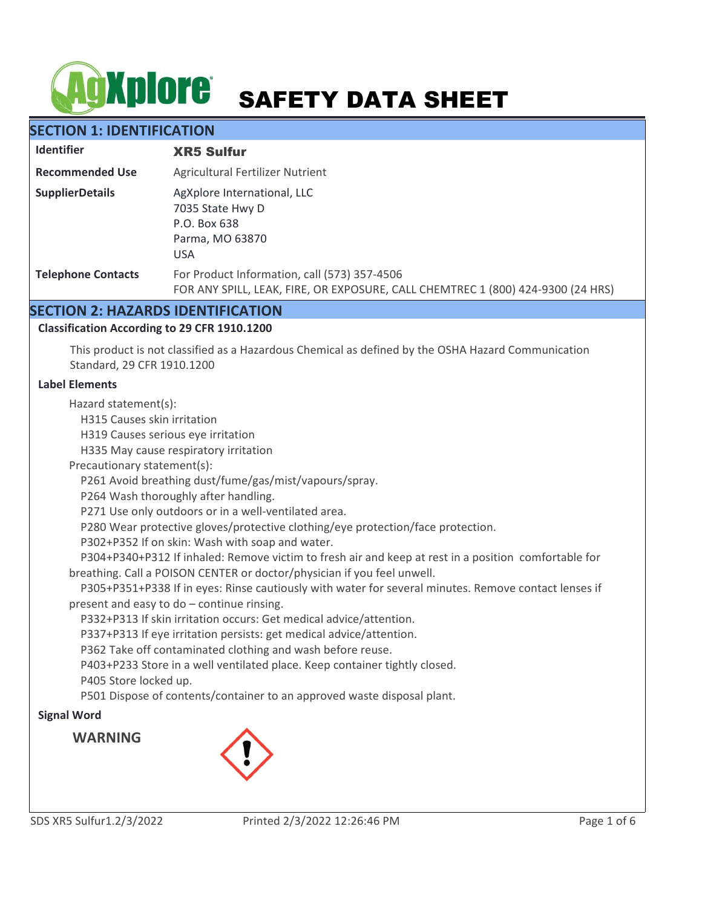# AGXplore SAFETY DATA SHEET

# **SECTION 1: IDENTIFICATION**

| <b>Identifier</b>         | <b>XR5 Sulfur</b>                                                                                                               |
|---------------------------|---------------------------------------------------------------------------------------------------------------------------------|
| <b>Recommended Use</b>    | Agricultural Fertilizer Nutrient                                                                                                |
| <b>SupplierDetails</b>    | AgXplore International, LLC<br>7035 State Hwy D<br>P.O. Box 638<br>Parma, MO 63870<br><b>USA</b>                                |
| <b>Telephone Contacts</b> | For Product Information, call (573) 357-4506<br>FOR ANY SPILL, LEAK, FIRE, OR EXPOSURE, CALL CHEMTREC 1 (800) 424-9300 (24 HRS) |

## **SECTION 2: HAZARDS IDENTIFICATION**

## **Classification According to 29 CFR 1910.1200**

This product is not classified as a Hazardous Chemical as defined by the OSHA Hazard Communication Standard, 29 CFR 1910.1200

## **Label Elements**

Hazard statement(s):

H315 Causes skin irritation

H319 Causes serious eye irritation

H335 May cause respiratory irritation

Precautionary statement(s):

P261 Avoid breathing dust/fume/gas/mist/vapours/spray.

P264 Wash thoroughly after handling.

P271 Use only outdoors or in a well-ventilated area.

P280 Wear protective gloves/protective clothing/eye protection/face protection.

P302+P352 If on skin: Wash with soap and water.

 P304+P340+P312 If inhaled: Remove victim to fresh air and keep at rest in a position comfortable for breathing. Call a POISON CENTER or doctor/physician if you feel unwell.

 P305+P351+P338 If in eyes: Rinse cautiously with water for several minutes. Remove contact lenses if present and easy to do – continue rinsing.

P332+P313 If skin irritation occurs: Get medical advice/attention.

P337+P313 If eye irritation persists: get medical advice/attention.

P362 Take off contaminated clothing and wash before reuse.

P403+P233 Store in a well ventilated place. Keep container tightly closed.

P405 Store locked up.

P501 Dispose of contents/container to an approved waste disposal plant.

# **Signal Word**

**WARNING**

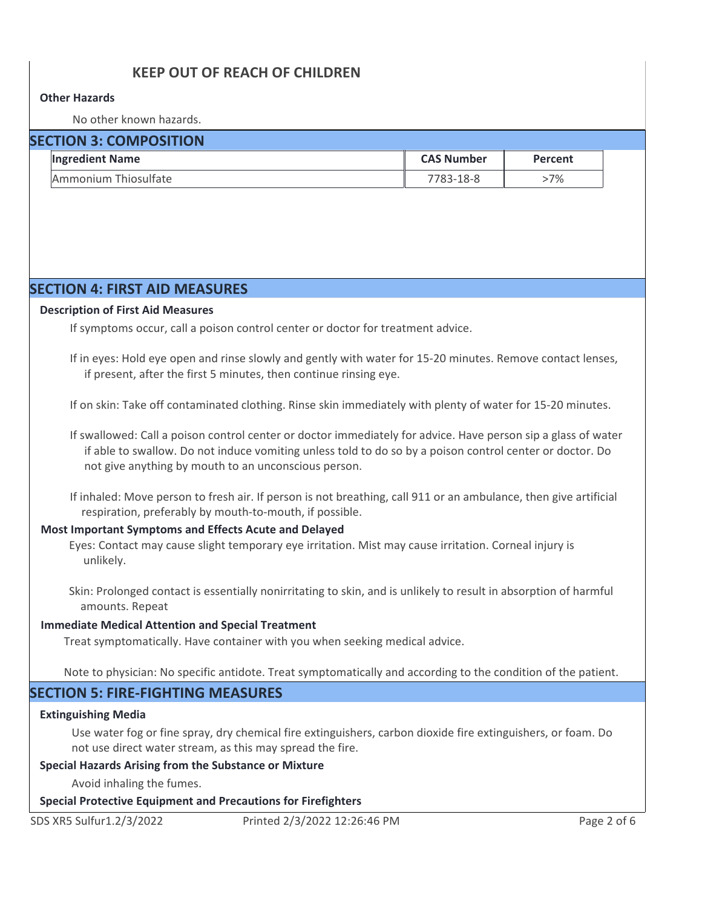# **KEEP OUT OF REACH OF CHILDREN**

### **Other Hazards**

No other known hazards.

| <b>SECTION 3: COMPOSITION</b> |                        |                   |         |  |  |  |  |  |
|-------------------------------|------------------------|-------------------|---------|--|--|--|--|--|
|                               | <b>Ingredient Name</b> | <b>CAS Number</b> | Percent |  |  |  |  |  |
|                               | Ammonium Thiosulfate   | 7783-18-8         | >7%     |  |  |  |  |  |

## **SECTION 4: FIRST AID MEASURES**

#### **Description of First Aid Measures**

If symptoms occur, call a poison control center or doctor for treatment advice.

If in eyes: Hold eye open and rinse slowly and gently with water for 15-20 minutes. Remove contact lenses, if present, after the first 5 minutes, then continue rinsing eye.

If on skin: Take off contaminated clothing. Rinse skin immediately with plenty of water for 15-20 minutes.

If swallowed: Call a poison control center or doctor immediately for advice. Have person sip a glass of water if able to swallow. Do not induce vomiting unless told to do so by a poison control center or doctor. Do not give anything by mouth to an unconscious person.

If inhaled: Move person to fresh air. If person is not breathing, call 911 or an ambulance, then give artificial respiration, preferably by mouth-to-mouth, if possible.

#### **Most Important Symptoms and Effects Acute and Delayed**

Eyes: Contact may cause slight temporary eye irritation. Mist may cause irritation. Corneal injury is unlikely.

Skin: Prolonged contact is essentially nonirritating to skin, and is unlikely to result in absorption of harmful amounts. Repeat

#### **Immediate Medical Attention and Special Treatment**

Treat symptomatically. Have container with you when seeking medical advice.

Note to physician: No specific antidote. Treat symptomatically and according to the condition of the patient.

## **SECTION 5: FIRE-FIGHTING MEASURES**

#### **Extinguishing Media**

Use water fog or fine spray, dry chemical fire extinguishers, carbon dioxide fire extinguishers, or foam. Do not use direct water stream, as this may spread the fire.

#### **Special Hazards Arising from the Substance or Mixture**

Avoid inhaling the fumes.

#### **Special Protective Equipment and Precautions for Firefighters**

SDS XR5 Sulfur1.2/3/2022 Printed 2/3/2022 12:26:46 PM Page 2 of 6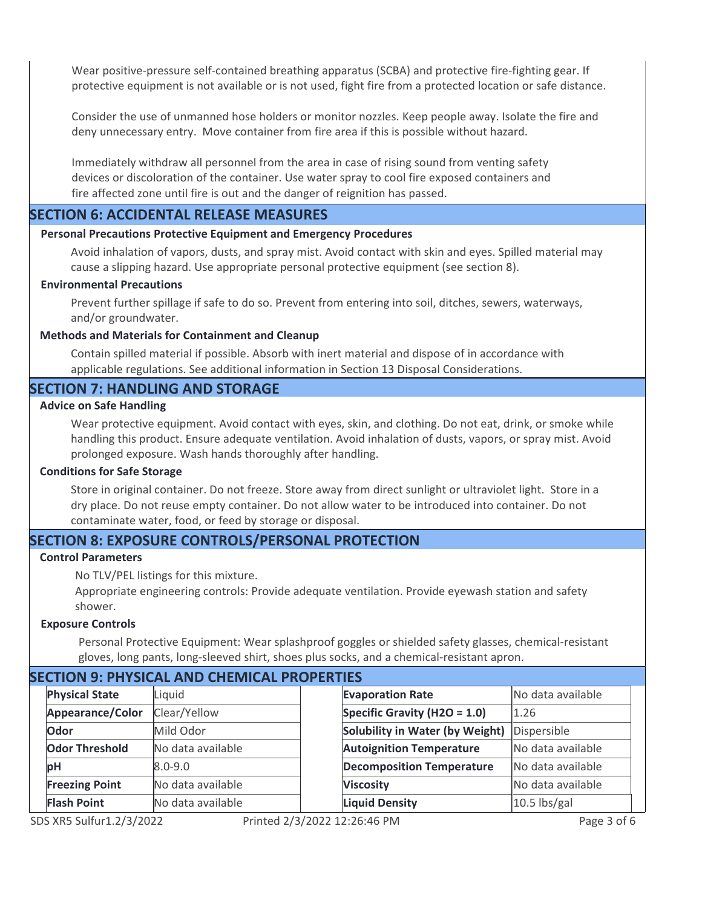Wear positive-pressure self-contained breathing apparatus (SCBA) and protective fire-fighting gear. If protective equipment is not available or is not used, fight fire from a protected location or safe distance.

Consider the use of unmanned hose holders or monitor nozzles. Keep people away. Isolate the fire and deny unnecessary entry. Move container from fire area if this is possible without hazard.

Immediately withdraw all personnel from the area in case of rising sound from venting safety devices or discoloration of the container. Use water spray to cool fire exposed containers and fire affected zone until fire is out and the danger of reignition has passed.

## **SECTION 6: ACCIDENTAL RELEASE MEASURES**

#### **Personal Precautions Protective Equipment and Emergency Procedures**

Avoid inhalation of vapors, dusts, and spray mist. Avoid contact with skin and eyes. Spilled material may cause a slipping hazard. Use appropriate personal protective equipment (see section 8).

#### **Environmental Precautions**

Prevent further spillage if safe to do so. Prevent from entering into soil, ditches, sewers, waterways, and/or groundwater.

## **Methods and Materials for Containment and Cleanup**

Contain spilled material if possible. Absorb with inert material and dispose of in accordance with applicable regulations. See additional information in Section 13 Disposal Considerations.

## **SECTION 7: HANDLING AND STORAGE**

## **Advice on Safe Handling**

Wear protective equipment. Avoid contact with eyes, skin, and clothing. Do not eat, drink, or smoke while handling this product. Ensure adequate ventilation. Avoid inhalation of dusts, vapors, or spray mist. Avoid prolonged exposure. Wash hands thoroughly after handling.

#### **Conditions for Safe Storage**

Store in original container. Do not freeze. Store away from direct sunlight or ultraviolet light. Store in a dry place. Do not reuse empty container. Do not allow water to be introduced into container. Do not contaminate water, food, or feed by storage or disposal.

## **SECTION 8: EXPOSURE CONTROLS/PERSONAL PROTECTION**

## **Control Parameters**

No TLV/PEL listings for this mixture.

Appropriate engineering controls: Provide adequate ventilation. Provide eyewash station and safety shower.

#### **Exposure Controls**

Personal Protective Equipment: Wear splashproof goggles or shielded safety glasses, chemical-resistant gloves, long pants, long-sleeved shirt, shoes plus socks, and a chemical-resistant apron.

| <b>SECTION 9: PHYSICAL AND CHEMICAL PROPERTIES</b> |                       |                   |  |                                             |                   |  |  |  |  |
|----------------------------------------------------|-----------------------|-------------------|--|---------------------------------------------|-------------------|--|--|--|--|
|                                                    | <b>Physical State</b> | Liquid            |  | <b>Evaporation Rate</b>                     | No data available |  |  |  |  |
|                                                    | Appearance/Color      | Clear/Yellow      |  | Specific Gravity (H2O = $1.0$ )             | 1.26              |  |  |  |  |
|                                                    | Odor                  | Mild Odor         |  | Solubility in Water (by Weight) Dispersible |                   |  |  |  |  |
|                                                    | <b>Odor Threshold</b> | No data available |  | <b>Autoignition Temperature</b>             | No data available |  |  |  |  |
|                                                    | рH                    | $8.0 - 9.0$       |  | <b>Decomposition Temperature</b>            | No data available |  |  |  |  |
|                                                    | <b>Freezing Point</b> | No data available |  | <b>Viscosity</b>                            | No data available |  |  |  |  |
|                                                    | <b>Flash Point</b>    | No data available |  | <b>Liquid Density</b>                       | $10.5$ lbs/gal    |  |  |  |  |

5 XR5 Sulfur1.2/3/2022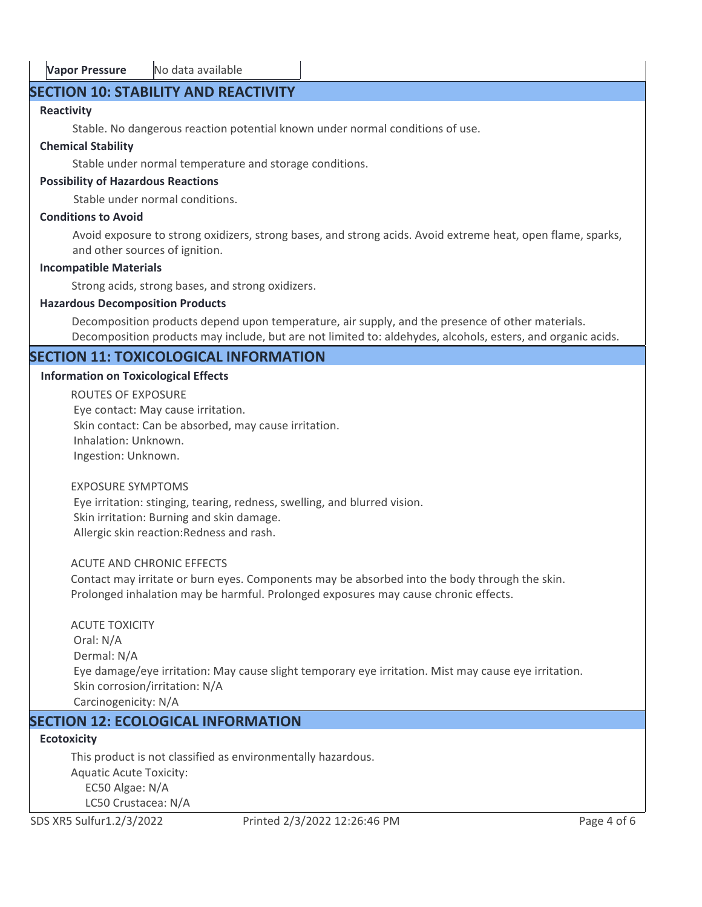# **SECTION 10: STABILITY AND REACTIVITY**

# **Reactivity**

Stable. No dangerous reaction potential known under normal conditions of use.

# **Chemical Stability**

Stable under normal temperature and storage conditions.

# **Possibility of Hazardous Reactions**

Stable under normal conditions.

## **Conditions to Avoid**

Avoid exposure to strong oxidizers, strong bases, and strong acids. Avoid extreme heat, open flame, sparks, and other sources of ignition.

# **Incompatible Materials**

Strong acids, strong bases, and strong oxidizers.

# **Hazardous Decomposition Products**

Decomposition products depend upon temperature, air supply, and the presence of other materials. Decomposition products may include, but are not limited to: aldehydes, alcohols, esters, and organic acids.

# **SECTION 11: TOXICOLOGICAL INFORMATION**

# **Information on Toxicological Effects**

ROUTES OF EXPOSURE Eye contact: May cause irritation. Skin contact: Can be absorbed, may cause irritation. Inhalation: Unknown. Ingestion: Unknown.

## EXPOSURE SYMPTOMS

 Eye irritation: stinging, tearing, redness, swelling, and blurred vision. Skin irritation: Burning and skin damage. Allergic skin reaction:Redness and rash.

# ACUTE AND CHRONIC EFFECTS

Contact may irritate or burn eyes. Components may be absorbed into the body through the skin. Prolonged inhalation may be harmful. Prolonged exposures may cause chronic effects.

# ACUTE TOXICITY Oral: N/A Dermal: N/A Eye damage/eye irritation: May cause slight temporary eye irritation. Mist may cause eye irritation. Skin corrosion/irritation: N/A Carcinogenicity: N/A

# **SECTION 12: ECOLOGICAL INFORMATION**

# **Ecotoxicity**

This product is not classified as environmentally hazardous. Aquatic Acute Toxicity: EC50 Algae: N/A LC50 Crustacea: N/A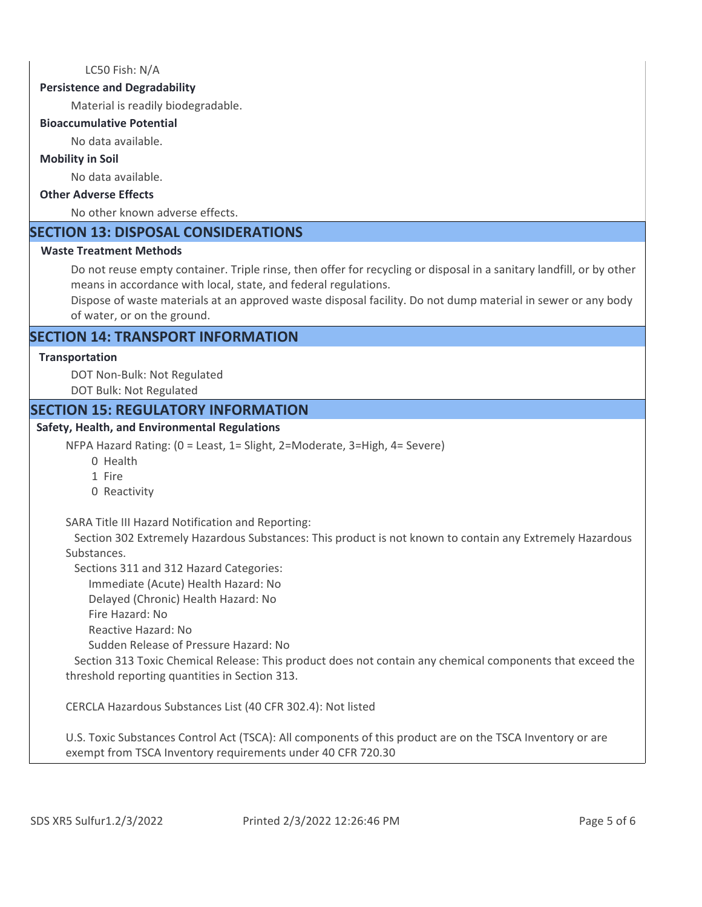LC50 Fish: N/A

#### **Persistence and Degradability**

Material is readily biodegradable.

#### **Bioaccumulative Potential**

No data available.

## **Mobility in Soil**

No data available.

#### **Other Adverse Effects**

No other known adverse effects.

# **SECTION 13: DISPOSAL CONSIDERATIONS**

## **Waste Treatment Methods**

Do not reuse empty container. Triple rinse, then offer for recycling or disposal in a sanitary landfill, or by other means in accordance with local, state, and federal regulations.

Dispose of waste materials at an approved waste disposal facility. Do not dump material in sewer or any body of water, or on the ground.

## **SECTION 14: TRANSPORT INFORMATION**

## **Transportation**

DOT Non-Bulk: Not Regulated

DOT Bulk: Not Regulated

## **SECTION 15: REGULATORY INFORMATION**

## **Safety, Health, and Environmental Regulations**

NFPA Hazard Rating: (0 = Least, 1= Slight, 2=Moderate, 3=High, 4= Severe)

- 0 Health
- 1 Fire
- 0 Reactivity

SARA Title III Hazard Notification and Reporting:

 Section 302 Extremely Hazardous Substances: This product is not known to contain any Extremely Hazardous Substances.

Sections 311 and 312 Hazard Categories:

Immediate (Acute) Health Hazard: No

Delayed (Chronic) Health Hazard: No

Fire Hazard: No

Reactive Hazard: No

Sudden Release of Pressure Hazard: No

 Section 313 Toxic Chemical Release: This product does not contain any chemical components that exceed the threshold reporting quantities in Section 313.

CERCLA Hazardous Substances List (40 CFR 302.4): Not listed

U.S. Toxic Substances Control Act (TSCA): All components of this product are on the TSCA Inventory or are exempt from TSCA Inventory requirements under 40 CFR 720.30